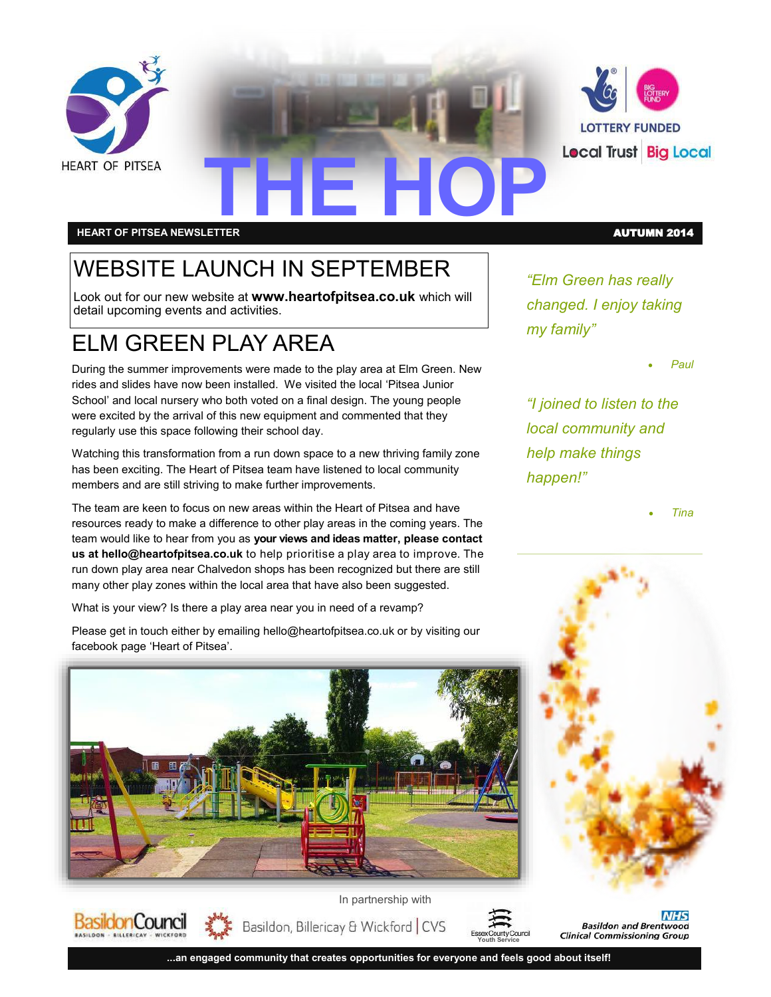



# **THE HOP HEART OF PITSEA NEWSLETTER** AUTUMN 2014

**BasildonCouncil** 

## WEBSITE LAUNCH IN SEPTEMBER

Look out for our new website at **www.heartofpitsea.co.uk** which will detail upcoming events and activities.

### ELM GREEN PLAY AREA

During the summer improvements were made to the play area at Elm Green. New rides and slides have now been installed. We visited the local 'Pitsea Junior School' and local nursery who both voted on a final design. The young people were excited by the arrival of this new equipment and commented that they regularly use this space following their school day.

Watching this transformation from a run down space to a new thriving family zone has been exciting. The Heart of Pitsea team have listened to local community members and are still striving to make further improvements.

The team are keen to focus on new areas within the Heart of Pitsea and have resources ready to make a difference to other play areas in the coming years. The team would like to hear from you as **your views and ideas matter, please contact us at hello@heartofpitsea.co.uk** to help prioritise a play area to improve. The run down play area near Chalvedon shops has been recognized but there are still many other play zones within the local area that have also been suggested.

What is your view? Is there a play area near you in need of a revamp?

Please get in touch either by emailing hello@heartofpitsea.co.uk or by visiting our facebook page 'Heart of Pitsea'.



*"Elm Green has really changed. I enjoy taking my family"*

*Paul*

*"I joined to listen to the local community and help make things happen!"*

*Tina*

**NHS Basildon and Brentwood Clinical Commissioning Group** 

Basildon, Billericay & Wickford | CVS



**...an engaged community that creates opportunities for everyone and feels good about itself!**

In partnership with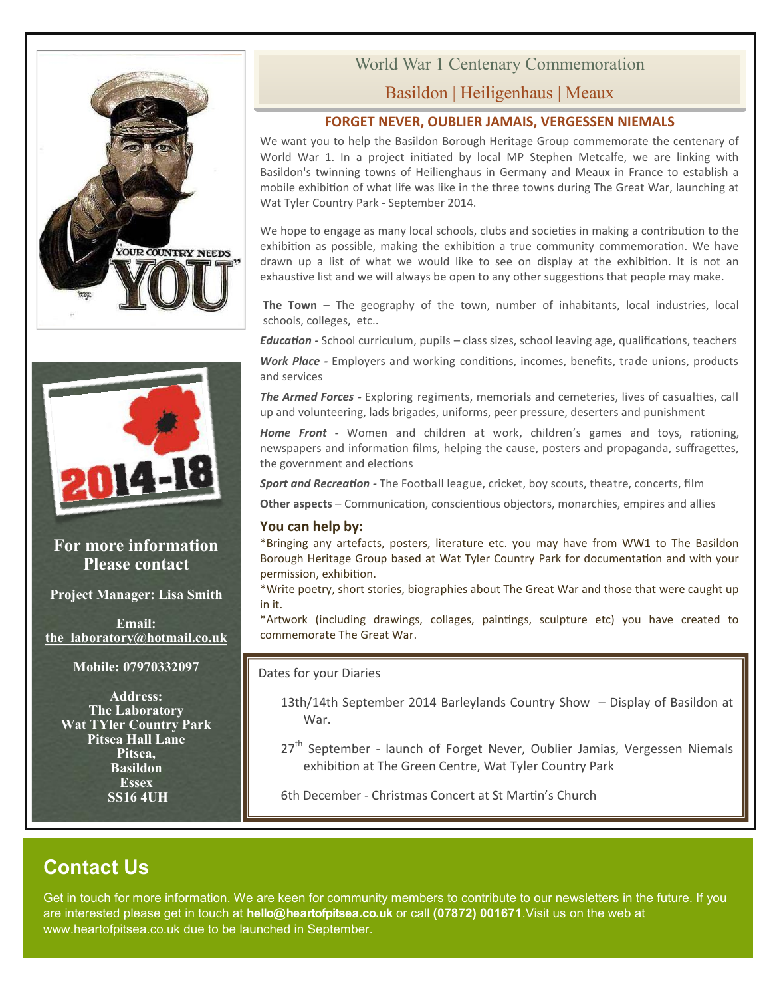



#### **For more information Please contact**

**Project Manager: Lisa Smith**

**Email: [the\\_laboratory@hotmail.co.uk](mailto:the_laboratory@hotmail.co.uk)**

**Mobile: 07970332097**

**Address: The Laboratory Wat TYler Country Park Pitsea Hall Lane Pitsea, Basildon Essex SS16 4UH**

# World War 1 Centenary Commemoration

### Basildon | Heiligenhaus | Meaux

#### **FORGET NEVER, OUBLIER JAMAIS, VERGESSEN NIEMALS**

We want you to help the Basildon Borough Heritage Group commemorate the centenary of World War 1. In a project initiated by local MP Stephen Metcalfe, we are linking with Basildon's twinning towns of Heilienghaus in Germany and Meaux in France to establish a mobile exhibition of what life was like in the three towns during The Great War, launching at Wat Tyler Country Park - September 2014.

We hope to engage as many local schools, clubs and societies in making a contribution to the exhibition as possible, making the exhibition a true community commemoration. We have drawn up a list of what we would like to see on display at the exhibition. It is not an exhaustive list and we will always be open to any other suggestions that people may make.

**The Town** – The geography of the town, number of inhabitants, local industries, local schools, colleges, etc..

*Education -* School curriculum, pupils – class sizes, school leaving age, qualifications, teachers

*Work Place -* Employers and working conditions, incomes, benefits, trade unions, products and services

*The Armed Forces -* Exploring regiments, memorials and cemeteries, lives of casualties, call up and volunteering, lads brigades, uniforms, peer pressure, deserters and punishment

*Home Front -* Women and children at work, children's games and toys, rationing, newspapers and information films, helping the cause, posters and propaganda, suffragettes, the government and elections

*Sport and Recreation -* The Football league, cricket, boy scouts, theatre, concerts, film

**Other aspects** – Communication, conscientious objectors, monarchies, empires and allies

#### **You can help by:**

\*Bringing any artefacts, posters, literature etc. you may have from WW1 to The Basildon Borough Heritage Group based at Wat Tyler Country Park for documentation and with your permission, exhibition.

\*Write poetry, short stories, biographies about The Great War and those that were caught up in it.

\*Artwork (including drawings, collages, paintings, sculpture etc) you have created to commemorate The Great War.

Dates for your Diaries

- 13th/14th September 2014 Barleylands Country Show Display of Basildon at War.
- 27<sup>th</sup> September launch of Forget Never, Oublier Jamias, Vergessen Niemals exhibition at The Green Centre, Wat Tyler Country Park

6th December - Christmas Concert at St Martin's Church

### **Contact Us**

Get in touch for more information. We are keen for community members to contribute to our newsletters in the future. If you are interested please get in touch at **hello@heartofpitsea.co.uk** or call **(07872) 001671**.Visit us on the web at www.heartofpitsea.co.uk due to be launched in September.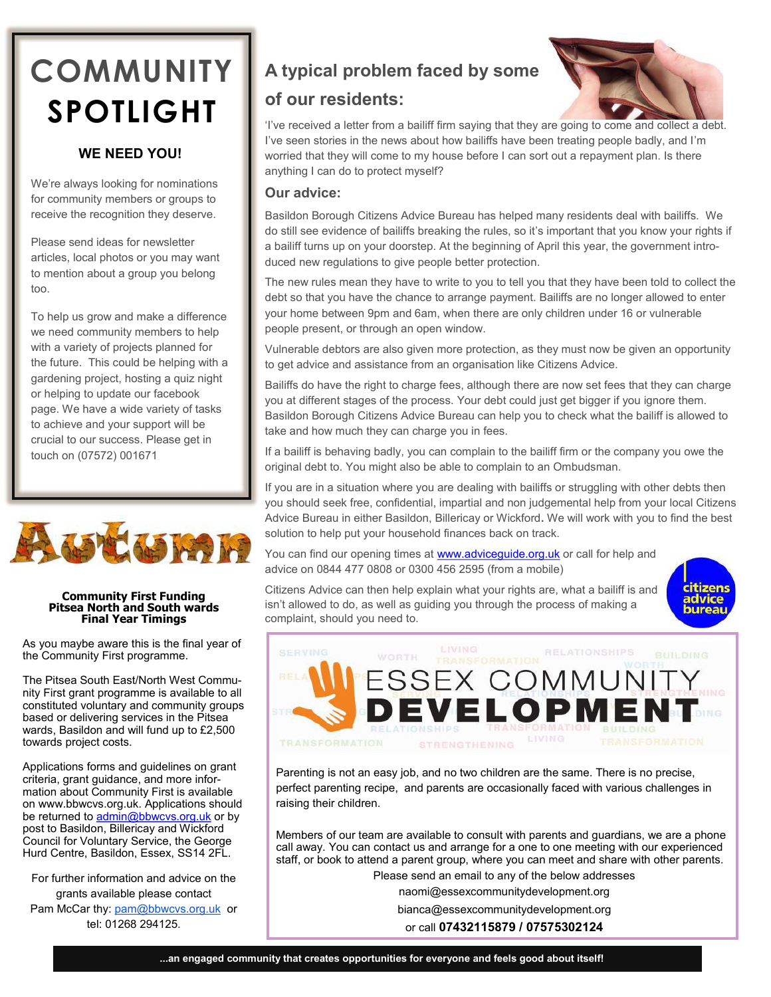# **COMMUNITY SPOTLIGHT**

#### **WE NEED YOU!**

We're always looking for nominations for community members or groups to receive the recognition they deserve.

Please send ideas for newsletter articles, local photos or you may want to mention about a group you belong too.

To help us grow and make a difference we need community members to help with a variety of projects planned for the future. This could be helping with a gardening project, hosting a quiz night or helping to update our facebook page. We have a wide variety of tasks to achieve and your support will be crucial to our success. Please get in touch on (07572) 001671



#### **Community First Funding Pitsea North and South wards Final Year Timings**

As you maybe aware this is the final year of the Community First programme.

The Pitsea South East/North West Community First grant programme is available to all constituted voluntary and community groups based or delivering services in the Pitsea wards, Basildon and will fund up to £2,500 towards project costs.

Applications forms and guidelines on grant criteria, grant guidance, and more information about Community First is available on www.bbwcvs.org.uk. Applications should be returned to [admin@bbwcvs.org.uk](mailto:admin@bbwcvs.org.uk) or by post to Basildon, Billericay and Wickford Council for Voluntary Service, the George Hurd Centre, Basildon, Essex, SS14 2FL.

For further information and advice on the grants available please contact

Pam McCar thy: [pam@bbwcvs.org.uk](mailto:pam@bbwcvs.org.uk) or tel: 01268 294125.

### **A typical problem faced by some**

### **of our residents:**



'I've received a letter from a bailiff firm saying that they are going to come and collect a debt. I've seen stories in the news about how bailiffs have been treating people badly, and I'm worried that they will come to my house before I can sort out a repayment plan. Is there anything I can do to protect myself?

#### **Our advice:**

Basildon Borough Citizens Advice Bureau has helped many residents deal with bailiffs. We do still see evidence of bailiffs breaking the rules, so it's important that you know your rights if a bailiff turns up on your doorstep. At the beginning of April this year, the government introduced new regulations to give people better protection.

The new rules mean they have to write to you to tell you that they have been told to collect the debt so that you have the chance to arrange payment. Bailiffs are no longer allowed to enter your home between 9pm and 6am, when there are only children under 16 or vulnerable people present, or through an open window.

Vulnerable debtors are also given more protection, as they must now be given an opportunity to get advice and assistance from an organisation like Citizens Advice.

Bailiffs do have the right to charge fees, although there are now set fees that they can charge you at different stages of the process. Your debt could just get bigger if you ignore them. Basildon Borough Citizens Advice Bureau can help you to check what the bailiff is allowed to take and how much they can charge you in fees.

If a bailiff is behaving badly, you can complain to the bailiff firm or the company you owe the original debt to. You might also be able to complain to an Ombudsman.

If you are in a situation where you are dealing with bailiffs or struggling with other debts then you should seek free, confidential, impartial and non judgemental help from your local Citizens Advice Bureau in either Basildon, Billericay or Wickford**.** We will work with you to find the best solution to help put your household finances back on track.

You can find our opening times at **www.adviceguide.org.uk** or call for help and advice on 0844 477 0808 or 0300 456 2595 (from a mobile)

Citizens Advice can then help explain what your rights are, what a bailiff is and isn't allowed to do, as well as guiding you through the process of making a complaint, should you need to.





Parenting is not an easy job, and no two children are the same. There is no precise, perfect parenting recipe, and parents are occasionally faced with various challenges in raising their children.

Members of our team are available to consult with parents and guardians, we are a phone call away. You can contact us and arrange for a one to one meeting with our experienced staff, or book to attend a parent group, where you can meet and share with other parents.

Please send an email to any of the below addresses

naomi@essexcommunitydevelopment.org

bianca@essexcommunitydevelopment.org

or call **07432115879 / 07575302124**